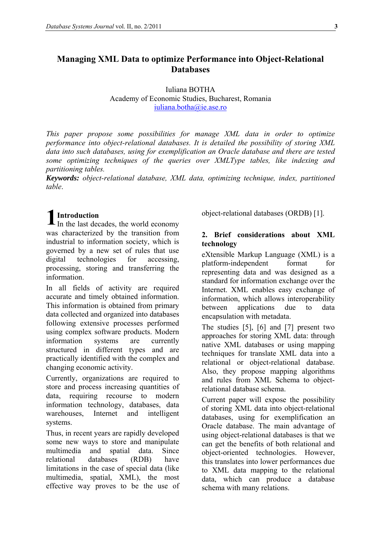# **Managing XML Data to optimize Performance into Object-Relational Databases**

Iuliana BOTHA Academy of Economic Studies, Bucharest, Romania [iuliana.botha@ie.ase.ro](mailto:iuliana.botha@ie.ase.ro)

*This paper propose some possibilities for manage XML data in order to optimize performance into object-relational databases. It is detailed the possibility of storing XML data into such databases, using for exemplification an Oracle database and there are tested some optimizing techniques of the queries over XMLType tables, like indexing and partitioning tables.* 

*Keywords: object-relational database, XML data, optimizing technique, index, partitioned table*.

# **1** In the last dec

In the last decades, the world economy was characterized by the transition from industrial to information society, which is governed by a new set of rules that use digital technologies for accessing, processing, storing and transferring the information.

In all fields of activity are required accurate and timely obtained information. This information is obtained from primary data collected and organized into databases following extensive processes performed using complex software products. Modern information systems are currently structured in different types and are practically identified with the complex and changing economic activity.

Currently, organizations are required to store and process increasing quantities of data, requiring recourse to modern information technology, databases, data warehouses, Internet and intelligent systems.

Thus, in recent years are rapidly developed some new ways to store and manipulate multimedia and spatial data. Since relational databases (RDB) have limitations in the case of special data (like multimedia, spatial, XML), the most effective way proves to be the use of object-relational databases (ORDB) [1].

## **2. Brief considerations about XML technology**

eXtensible Markup Language (XML) is a platform-independent format for representing data and was designed as a standard for information exchange over the Internet. XML enables easy exchange of information, which allows interoperability between applications due to data encapsulation with metadata.

The studies [5], [6] and [7] present two approaches for storing XML data: through native XML databases or using mapping techniques for translate XML data into a relational or object-relational database. Also, they propose mapping algorithms and rules from XML Schema to objectrelational database schema.

Current paper will expose the possibility of storing XML data into object-relational databases, using for exemplification an Oracle database. The main advantage of using object-relational databases is that we can get the benefits of both relational and object-oriented technologies. However, this translates into lower performances due to XML data mapping to the relational data, which can produce a database schema with many relations.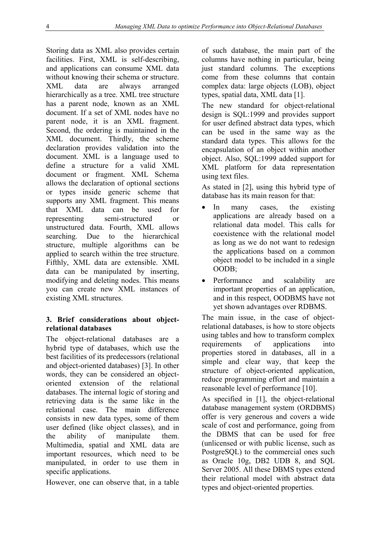Storing data as XML also provides certain facilities. First, XML is self-describing, and applications can consume XML data without knowing their schema or structure. XML data are always arranged hierarchically as a tree. XML tree structure has a parent node, known as an XML document. If a set of XML nodes have no parent node, it is an XML fragment. Second, the ordering is maintained in the XML document. Thirdly, the scheme declaration provides validation into the document. XML is a language used to define a structure for a valid XML document or fragment. XML Schema allows the declaration of optional sections or types inside generic scheme that supports any XML fragment. This means that XML data can be used for representing semi-structured or unstructured data. Fourth, XML allows searching. Due to the hierarchical structure, multiple algorithms can be applied to search within the tree structure. Fifthly, XML data are extensible. XML data can be manipulated by inserting, modifying and deleting nodes. This means you can create new XML instances of existing XML structures.

## **3. Brief considerations about objectrelational databases**

The object-relational databases are a hybrid type of databases, which use the best facilities of its predecessors (relational and object-oriented databases) [3]. In other words, they can be considered an objectoriented extension of the relational databases. The internal logic of storing and retrieving data is the same like in the relational case. The main difference consists in new data types, some of them user defined (like object classes), and in the ability of manipulate them. Multimedia, spatial and XML data are important resources, which need to be manipulated, in order to use them in specific applications.

However, one can observe that, in a table

of such database, the main part of the columns have nothing in particular, being just standard columns. The exceptions come from these columns that contain complex data: large objects (LOB), object types, spatial data, XML data [1].

The new standard for object-relational design is SQL:1999 and provides support for user defined abstract data types, which can be used in the same way as the standard data types. This allows for the encapsulation of an object within another object. Also, SQL:1999 added support for XML platform for data representation using text files.

As stated in [2], using this hybrid type of database has its main reason for that:

- In many cases, the existing applications are already based on a relational data model. This calls for coexistence with the relational model as long as we do not want to redesign the applications based on a common object model to be included in a single OODB;
- Performance and scalability are important properties of an application, and in this respect, OODBMS have not yet shown advantages over RDBMS.

The main issue, in the case of objectrelational databases, is how to store objects using tables and how to transform complex requirements of applications into properties stored in databases, all in a simple and clear way, that keep the structure of object-oriented application, reduce programming effort and maintain a reasonable level of performance [10].

As specified in [1], the object-relational database management system (ORDBMS) offer is very generous and covers a wide scale of cost and performance, going from the DBMS that can be used for free (unlicensed or with public license, such as PostgreSQL) to the commercial ones such as Oracle 10g, DB2 UDB 8, and SQL Server 2005. All these DBMS types extend their relational model with abstract data types and object-oriented properties.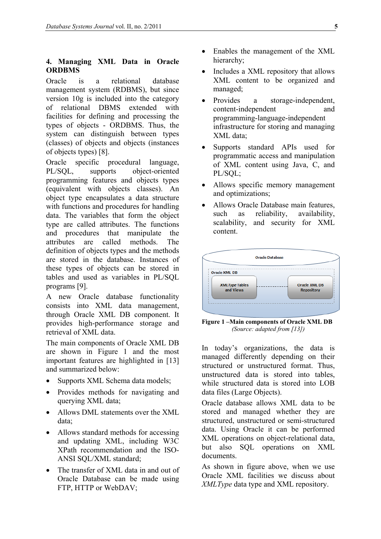## **4. Managing XML Data in Oracle ORDBMS**

Oracle is a relational database management system (RDBMS), but since version 10g is included into the category of relational DBMS extended with facilities for defining and processing the types of objects - ORDBMS. Thus, the system can distinguish between types (classes) of objects and objects (instances of objects types) [8].

Oracle specific procedural language, PL/SQL, supports object-oriented programming features and objects types (equivalent with objects classes). An object type encapsulates a data structure with functions and procedures for handling data. The variables that form the object type are called attributes. The functions and procedures that manipulate the attributes are called methods. The definition of objects types and the methods are stored in the database. Instances of these types of objects can be stored in tables and used as variables in PL/SQL programs [9].

A new Oracle database functionality consists into XML data management, through Oracle XML DB component. It provides high-performance storage and retrieval of XML data.

The main components of Oracle XML DB are shown in Figure 1 and the most important features are highlighted in [13] and summarized below:

- Supports XML Schema data models;
- Provides methods for navigating and querying XML data;
- Allows DML statements over the XML data;
- Allows standard methods for accessing and updating XML, including W3C XPath recommendation and the ISO-ANSI SQL/XML standard;
- The transfer of XML data in and out of Oracle Database can be made using FTP, HTTP or WebDAV;
- Enables the management of the XML hierarchy;
- Includes a XML repository that allows XML content to be organized and managed;
- Provides a storage-independent, content-independent and programming-language-independent infrastructure for storing and managing XML data;
- Supports standard APIs used for programmatic access and manipulation of XML content using Java, C, and PL/SQL;
- Allows specific memory management and optimizations;
- Allows Oracle Database main features, such as reliability, availability, scalability, and security for XML content.



**Figure 1 –Main components of Oracle XML DB**  *(Source: adapted from [13])* 

In today's organizations, the data is managed differently depending on their structured or unstructured format. Thus, unstructured data is stored into tables while structured data is stored into LOB data files (Large Objects).

Oracle database allows XML data to be stored and managed whether they are structured, unstructured or semi-structured data. Using Oracle it can be performed XML operations on object-relational data, but also SQL operations on XML documents.

As shown in figure above, when we use Oracle XML facilities we discuss about *XMLType* data type and XML repository.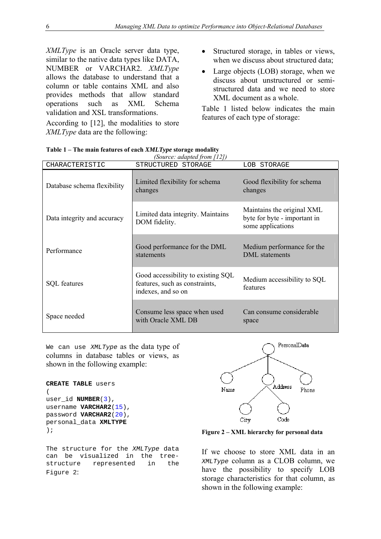*XMLType* is an Oracle server data type, similar to the native data types like DATA, NUMBER or VARCHAR2. *XMLType* allows the database to understand that a column or table contains XML and also provides methods that allow standard operations such as XML Schema validation and XSL transformations.

According to [12], the modalities to store *XMLType* data are the following:

- Structured storage, in tables or views, when we discuss about structured data;
- Large objects (LOB) storage, when we discuss about unstructured or semistructured data and we need to store XML document as a whole.

Table 1 listed below indicates the main features of each type of storage:

| CHARACTERISTIC              | STRUCTURED STORAGE                                                                         | LOB STORAGE                                                                     |  |  |  |
|-----------------------------|--------------------------------------------------------------------------------------------|---------------------------------------------------------------------------------|--|--|--|
| Database schema flexibility | Limited flexibility for schema<br>changes                                                  | Good flexibility for schema<br>changes                                          |  |  |  |
| Data integrity and accuracy | Limited data integrity. Maintains<br>DOM fidelity.                                         | Maintains the original XML<br>byte for byte - important in<br>some applications |  |  |  |
| Performance                 | Good performance for the DML<br>statements                                                 | Medium performance for the<br>DML statements                                    |  |  |  |
| <b>SQL</b> features         | Good accessibility to existing SQL<br>features, such as constraints,<br>indexes, and so on | Medium accessibility to SQL<br>features                                         |  |  |  |
| Space needed                | Consume less space when used<br>with Oracle XML DB                                         | Can consume considerable<br>space                                               |  |  |  |

**Table 1 – The main features of each** *XMLType* **storage modality** 

We can use *XMLType* as the data type of columns in database tables or views, as shown in the following example:

```
CREATE TABLE users 
\left(user_id NUMBER(3), 
username VARCHAR2(15), 
password VARCHAR2(20), 
personal_data XMLTYPE
);
```
The structure for the *XMLType* data can be visualized in the treestructure represented in the Figure 2:



**Figure 2 – XML hierarchy for personal data** 

If we choose to store XML data in an *XMLType* column as a CLOB column, we have the possibility to specify LOB storage characteristics for that column, as shown in the following example: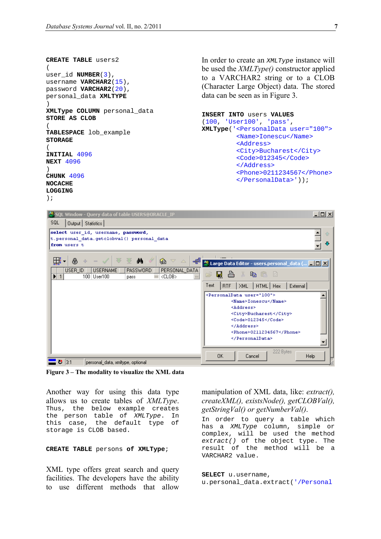```
CREATE TABLE users2 
(user_id NUMBER(3), 
username VARCHAR2(15), 
password VARCHAR2(20), 
personal_data XMLTYPE
) 
XMLType COLUMN personal_data 
STORE AS CLOB
(TABLESPACE lob_example 
STORAGE 
( 
INITIAL 4096 
NEXT 4096
) 
CHUNK 4096 
NOCACHE 
LOGGING
);
```
In order to create an *XMLType* instance will be used the *XMLType()* constructor applied to a VARCHAR2 string or to a CLOB (Character Large Object) data. The stored data can be seen as in Figure 3.

```
INSERT INTO users VALUES 
(100, 'User100', 'pass', 
XMLType('<PersonalData user="100"> 
           <Name>Ionescu</Name> 
           <Address> 
           <City>Bucharest</City> 
           <Code>012345</Code> 
           </Address> 
           <Phone>0211234567</Phone> 
           </PersonalData>'));
```


**Figure 3 – The modality to visualize the XML data** 

Another way for using this data type allows us to create tables of *XMLType*. Thus, the below example creates the person table of *XMLType*. In this case, the default type of storage is CLOB based.

#### **CREATE TABLE** persons **of XMLType**;

XML type offers great search and query facilities. The developers have the ability to use different methods that allow

manipulation of XML data, like: *extract(), createXML(), existsNode(), getCLOBVal(), getStringVal() or getNumberVal()*.

In order to query a table which has a *XMLType* column, simple or complex, will be used the method *extract()* of the object type. The result of the method will be a VARCHAR2 value.

**SELECT** u.username, u.personal\_data.extract('/Personal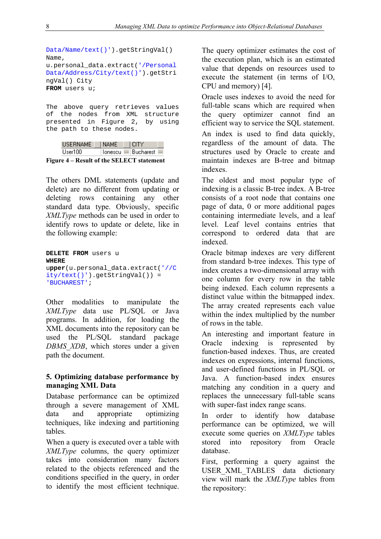```
Data/Name/text()').getStringVal() 
Name, 
u.personal_data.extract('/Personal
Data/Address/City/text()').getStri
ngVal() City 
FROM users u;
```
The above query retrieves values of the nodes from XML structure presented in Figure 2, by using the path to these nodes.

| <b>HSERNAME</b> | I NAME                    | LEITY |  |
|-----------------|---------------------------|-------|--|
| Hser100.        | Tonescu --- Bucharest --- |       |  |

**Figure 4 – Result of the SELECT statement** 

The others DML statements (update and delete) are no different from updating or deleting rows containing any other standard data type. Obviously, specific *XMLType* methods can be used in order to identify rows to update or delete, like in the following example:

```
DELETE FROM users u 
WHERE
upper(u.personal_data.extract('//C
ity/text()').getStringVal()) = 
'BUCHAREST';
```
Other modalities to manipulate the *XMLType* data use PL/SQL or Java programs. In addition, for loading the XML documents into the repository can be used the PL/SQL standard package *DBMS\_XDB*, which stores under a given path the document.

### **5. Optimizing database performance by managing XML Data**

Database performance can be optimized through a severe management of XML data and appropriate optimizing techniques, like indexing and partitioning tables.

When a query is executed over a table with *XMLType* columns, the query optimizer takes into consideration many factors related to the objects referenced and the conditions specified in the query, in order to identify the most efficient technique. The query optimizer estimates the cost of the execution plan, which is an estimated value that depends on resources used to execute the statement (in terms of I/O, CPU and memory) [4].

Oracle uses indexes to avoid the need for full-table scans which are required when the query optimizer cannot find an efficient way to service the SQL statement. An index is used to find data quickly, regardless of the amount of data. The structures used by Oracle to create and maintain indexes are B-tree and bitmap indexes.

The oldest and most popular type of indexing is a classic B-tree index. A B-tree consists of a root node that contains one page of data, 0 or more additional pages containing intermediate levels, and a leaf level. Leaf level contains entries that correspond to ordered data that are indexed.

Oracle bitmap indexes are very different from standard b-tree indexes. This type of index creates a two-dimensional array with one column for every row in the table being indexed. Each column represents a distinct value within the bitmapped index. The array created represents each value within the index multiplied by the number of rows in the table.

An interesting and important feature in Oracle indexing is represented by function-based indexes. Thus, are created indexes on expressions, internal functions, and user-defined functions in PL/SQL or Java. A function-based index ensures matching any condition in a query and replaces the unnecessary full-table scans with super-fast index range scans.

In order to identify how database performance can be optimized, we will execute some queries on *XMLType* tables stored into repository from Oracle database.

First, performing a query against the USER\_XML\_TABLES data dictionary view will mark the *XMLType* tables from the repository: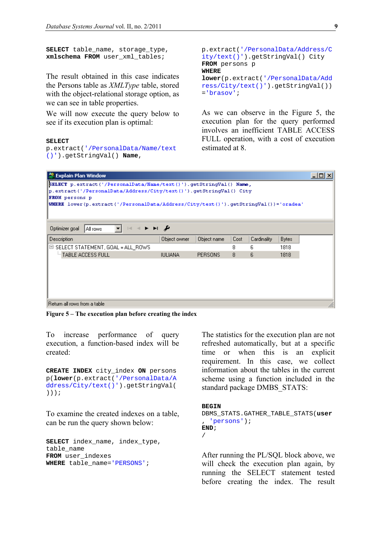```
SELECT table_name, storage_type, 
xmlschema FROM user_xml_tables;
```
The result obtained in this case indicates the Persons table as *XMLType* table, stored with the object-relational storage option, as we can see in table properties.

We will now execute the query below to see if its execution plan is optimal:

#### **SELECT**

p.extract('/PersonalData/Name/text ()').getStringVal() **Name**,

```
p.extract('/PersonalData/Address/C
ity/text()').getStringVal() City 
FROM persons p 
WHERE
lower(p.extract('/PersonalData/Add
ress/City/text()').getStringVal())
='brasov';
```
As we can observe in the Figure 5, the execution plan for the query performed involves an inefficient TABLE ACCESS FULL operation, with a cost of execution estimated at 8.

| <b>Explain Plan Window</b>                                                          |                |                |      |             |              | <u>_ 미</u> × |
|-------------------------------------------------------------------------------------|----------------|----------------|------|-------------|--------------|--------------|
| SELECT p.extract('/PersonalData/Name/text()').getStringVal() Name,                  |                |                |      |             |              |              |
| p.extract('/PersonalData/Address/City/text()').getStringVal() City                  |                |                |      |             |              |              |
| <b>FROM</b> persons p                                                               |                |                |      |             |              |              |
| WHERE lower(p.extract('/PersonalData/Address/City/text()').getStringVal())='oradea' |                |                |      |             |              |              |
|                                                                                     |                |                |      |             |              |              |
|                                                                                     |                |                |      |             |              |              |
| ► ⊨ ≁<br>$ \mathbf{z} $<br>$\rightarrow$<br>Optimizer goal<br>All rows              |                |                |      |             |              |              |
| Description                                                                         | Object owner   | Object name    | Cost | Cardinality | <b>Bytes</b> |              |
| E SELECT STATEMENT, GOAL = ALL_ROWS                                                 |                |                | 8    | 6           | 1818         |              |
| <sup>E.,</sup> TABLE ACCESS FULL                                                    | <b>IULIANA</b> | <b>PERSONS</b> | 8    | 6           | 1818         |              |
|                                                                                     |                |                |      |             |              |              |
|                                                                                     |                |                |      |             |              |              |
|                                                                                     |                |                |      |             |              |              |
|                                                                                     |                |                |      |             |              |              |
|                                                                                     |                |                |      |             |              |              |
| Return all rows from a table.                                                       |                |                |      |             |              | n.           |

**Figure 5 – The execution plan before creating the index** 

To increase performance of query execution, a function-based index will be created:

**CREATE INDEX** city\_index **ON** persons p(**lower**(p.extract('/PersonalData/A ddress/City/text()').getStringVal( )));

To examine the created indexes on a table, can be run the query shown below:

**SELECT** index\_name, index\_type, table\_name **FROM** user\_indexes **WHERE** table\_name='PERSONS';

The statistics for the execution plan are not refreshed automatically, but at a specific time or when this is an explicit requirement. In this case, we collect information about the tables in the current scheme using a function included in the standard package DMBS\_STATS:

#### **BEGIN**

DBMS\_STATS.GATHER\_TABLE\_STATS(**user** , 'persons'); **END**; /

After running the PL/SQL block above, we will check the execution plan again, by running the SELECT statement tested before creating the index. The result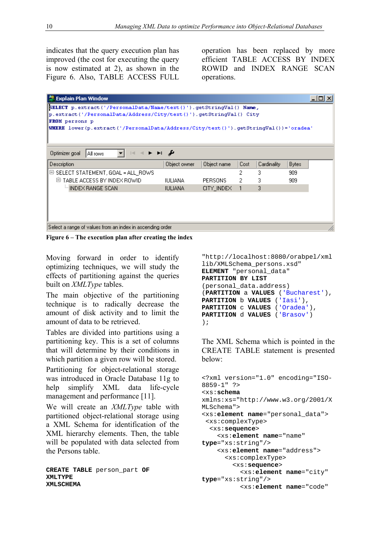indicates that the query execution plan has improved (the cost for executing the query is now estimated at 2), as shown in the Figure 6. Also, TABLE ACCESS FULL

operation has been replaced by more efficient TABLE ACCESS BY INDEX ROWID and INDEX RANGE SCAN operations.

| 製 Explain Plan Window                                                                                                  |              |                |      |             |              |  |
|------------------------------------------------------------------------------------------------------------------------|--------------|----------------|------|-------------|--------------|--|
| SELECT p.extract('/PersonalData/Name/text()').getStringVal() Name,                                                     |              |                |      |             |              |  |
| p.extract('/PersonalData/Address/City/text()').getStringVal() City                                                     |              |                |      |             |              |  |
| <b>FROM</b> persons p                                                                                                  |              |                |      |             |              |  |
| WHERE lower(p.extract('/PersonalData/Address/City/text()').getStringVal())='oradea'                                    |              |                |      |             |              |  |
|                                                                                                                        |              |                |      |             |              |  |
|                                                                                                                        |              |                |      |             |              |  |
| $\blacktriangleright$ $\blacktriangleright$ $\dashv$<br>$\left\vert \cdot \right\vert$ .<br>Optimizer goal<br>All rows | ≁            |                |      |             |              |  |
| Description                                                                                                            | Object owner | Object name    | Cost | Cardinality | <b>Bytes</b> |  |
| $\boxdot$ SELECT STATEMENT, GOAL = ALL_ROWS                                                                            |              |                | 2    | 3           | 909          |  |
| 日 TABLE ACCESS BY INDEX ROWID                                                                                          | IULIANA.     | <b>PERSONS</b> | 2    | 3           | 909          |  |
| ill INDEX RANGE SCAN                                                                                                   | IULIANA.     | CITY INDEX     |      | 3           |              |  |
|                                                                                                                        |              |                |      |             |              |  |
|                                                                                                                        |              |                |      |             |              |  |
|                                                                                                                        |              |                |      |             |              |  |
|                                                                                                                        |              |                |      |             |              |  |
| Select a range of values from an index in ascending order<br>//,                                                       |              |                |      |             |              |  |

**Figure 6 – The execution plan after creating the index** 

Moving forward in order to identify optimizing techniques, we will study the effects of partitioning against the queries built on *XMLType* tables.

The main objective of the partitioning technique is to radically decrease the amount of disk activity and to limit the amount of data to be retrieved.

Tables are divided into partitions using a partitioning key. This is a set of columns that will determine by their conditions in which partition a given row will be stored.

Partitioning for object-relational storage was introduced in Oracle Database 11g to help simplify XML data life-cycle management and performance [11].

We will create an *XMLType* table with partitioned object-relational storage using a XML Schema for identification of the XML hierarchy elements. Then, the table will be populated with data selected from the Persons table.

**CREATE TABLE** person\_part **OF XMLTYPE XMLSCHEMA**

```
"http://localhost:8080/orabpel/xml
lib/XMLSchema_persons.xsd" 
ELEMENT "personal_data" 
PARTITION BY LIST
(personal_data.address) 
(PARTITION a VALUES ('Bucharest'), 
PARTITION b VALUES ('Iasi'), 
PARTITION c VALUES ('Oradea'), 
PARTITION d VALUES ('Brasov') 
);
```
The XML Schema which is pointed in the CREATE TABLE statement is presented below:

```
<?xml version="1.0" encoding="ISO-
8859-1" ?> 
<xs:schema
xmlns:xs="http://www.w3.org/2001/X
MLSchema"> 
<xs:element name="personal_data"> 
  <xs:complexType> 
   <xs:sequence> 
     <xs:element name="name" 
type="xs:string"/> 
     <xs:element name="address"> 
       <xs:complexType> 
         <xs:sequence> 
           <xs:element name="city" 
type="xs:string"/> 
            <xs:element name="code"
```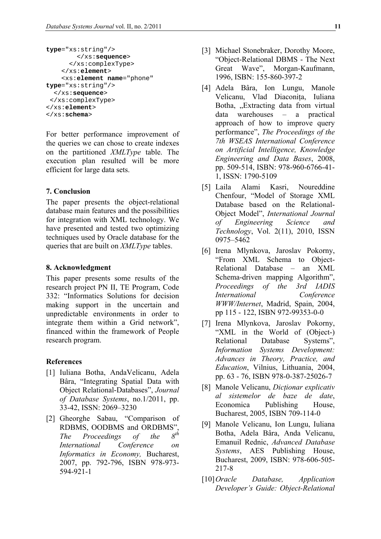```
type="xs:string"/> 
         </xs:sequence> 
       </xs:complexType> 
     </xs:element> 
     <xs:element name="phone" 
type="xs:string"/> 
   </xs:sequence> 
  </xs:complexType> 
</xs:element> 
</xs:schema>
```
For better performance improvement of the queries we can chose to create indexes on the partitioned *XMLType* table. The execution plan resulted will be more efficient for large data sets.

#### **7. Conclusion**

The paper presents the object-relational database main features and the possibilities for integration with XML technology. We have presented and tested two optimizing techniques used by Oracle database for the queries that are built on *XMLType* tables.

#### **8. Acknowledgment**

This paper presents some results of the research project PN II, TE Program, Code 332: "Informatics Solutions for decision making support in the uncertain and unpredictable environments in order to integrate them within a Grid network", financed within the framework of People research program.

#### **References**

- [1] Iuliana Botha, AndaVelicanu, Adela Bâra, "Integrating Spatial Data with Object Relational-Databases", *Journal of Database Systems*, no.1/2011, pp. 33-42, ISSN: 2069–3230
- [2] Gheorghe Sabau, "Comparison of RDBMS, OODBMS and ORDBMS",<br>The Proceedings of the  $O^{th}$ *The Proceedings of the International Conference on Informatics in Economy,* Bucharest, 2007, pp. 792-796, ISBN 978-973- 594-921-1
- [3] Michael Stonebraker, Dorothy Moore, "Object-Relational DBMS - The Next Great Wave", Morgan-Kaufmann, 1996, ISBN: 155-860-397-2
- [4] Adela Bâra, Ion Lungu, Manole Velicanu, Vlad Diaconița, Iuliana Botha, "Extracting data from virtual data warehouses – a practical approach of how to improve query performance", *The Proceedings of the 7th WSEAS International Conference on Artificial Intelligence, Knowledge Engineering and Data Bases*, 2008, pp. 509-514, ISBN: 978-960-6766-41- 1, ISSN: 1790-5109
- [5] Laila Alami Kasri, Noureddine Chenfour, "Model of Storage XML Database based on the Relational-Object Model", *International Journal of Engineering Science and Technology*, Vol. 2(11), 2010, ISSN 0975–5462
- [6] Irena Mlynkova, Jaroslav Pokorny, "From XML Schema to Object-Relational Database – an XML Schema-driven mapping Algorithm", *Proceedings of the 3rd IADIS International Conference WWW/Internet*, Madrid, Spain, 2004, pp 115 - 122, ISBN 972-99353-0-0
- [7] Irena Mlynkova, Jaroslav Pokorny, "XML in the World of (Object-) Relational Database Systems", *Information Systems Development: Advances in Theory, Practice, and Education*, Vilnius, Lithuania, 2004, pp. 63 - 76, ISBN 978-0-387-25026-7
- [8] Manole Velicanu, *Dicţionar explicativ al sistemelor de baze de date*, Economica Publishing House, Bucharest, 2005, ISBN 709-114-0
- [9] Manole Velicanu, Ion Lungu, Iuliana Botha, Adela Bâra, Anda Velicanu, Emanuil Rednic, *Advanced Database Systems*, AES Publishing House, Bucharest, 2009, ISBN: 978-606-505- 217-8
- [10]*Oracle Database, Application Developer's Guide: Object-Relational*